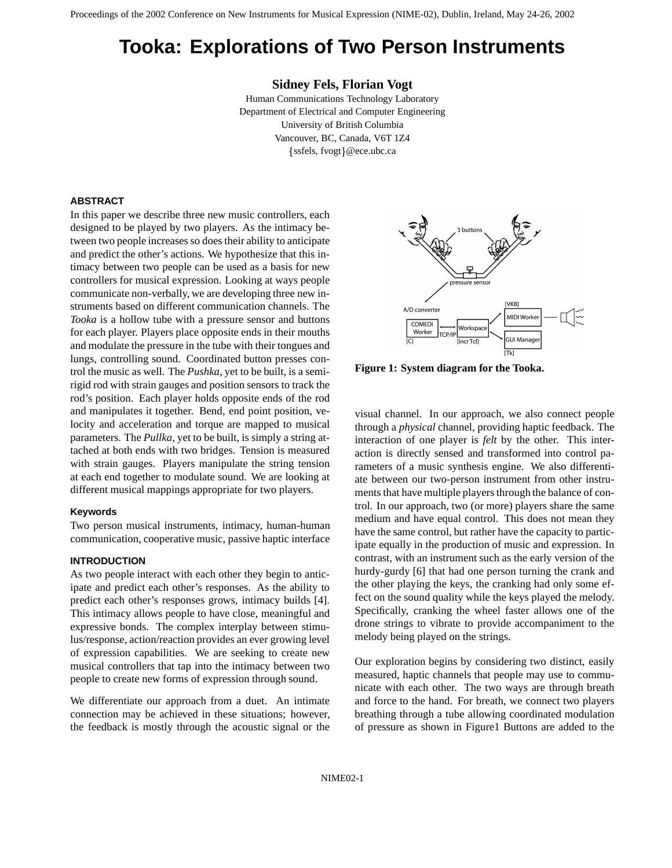# **Tooka: Explorations of Two Person Instruments**

**Sidney Fels, Florian Vogt**

Human Communications Technology Laboratory Department of Electrical and Computer Engineering University of British Columbia Vancouver, BC, Canada, V6T 1Z4 ssfels, fvogt @ece.ubc.ca

# **ABSTRACT**

In this paper we describe three new music controllers, each designed to be played by two players. As the intimacy between two people increases so does their ability to anticipate and predict the other's actions. We hypothesize that this intimacy between two people can be used as a basis for new controllers for musical expression. Looking at ways people communicate non-verbally, we are developing three new instruments based on different communication channels. The *Tooka* is a hollow tube with a pressure sensor and buttons for each player. Players place opposite ends in their mouths and modulate the pressure in the tube with their tongues and lungs, controlling sound. Coordinated button presses control the music as well. The *Pushka*, yet to be built, is a semirigid rod with strain gauges and position sensors to track the rod's position. Each player holds opposite ends of the rod and manipulates it together. Bend, end point position, velocity and acceleration and torque are mapped to musical parameters. The *Pullka*, yet to be built, is simply a string attached at both ends with two bridges. Tension is measured with strain gauges. Players manipulate the string tension at each end together to modulate sound. We are looking at different musical mappings appropriate for two players.

#### **Keywords**

Two person musical instruments, intimacy, human-human communication, cooperative music, passive haptic interface

### **INTRODUCTION**

As two people interact with each other they begin to anticipate and predict each other's responses. As the ability to predict each other's responses grows, intimacy builds [4]. This intimacy allows people to have close, meaningful and expressive bonds. The complex interplay between stimulus/response, action/reaction provides an ever growing level of expression capabilities. We are seeking to create new musical controllers that tap into the intimacy between two people to create new forms of expression through sound.

We differentiate our approach from a duet. An intimate connection may be achieved in these situations; however, the feedback is mostly through the acoustic signal or the



**Figure 1: System diagram for the Tooka.**

visual channel. In our approach, we also connect people through a *physical* channel, providing haptic feedback. The interaction of one player is *felt* by the other. This interaction is directly sensed and transformed into control parameters of a music synthesis engine. We also differentiate between our two-person instrument from other instruments that have multiple players through the balance of control. In our approach, two (or more) players share the same medium and have equal control. This does not mean they have the same control, but rather have the capacity to participate equally in the production of music and expression. In contrast, with an instrument such as the early version of the hurdy-gurdy [6] that had one person turning the crank and the other playing the keys, the cranking had only some effect on the sound quality while the keys played the melody. Specifically, cranking the wheel faster allows one of the drone strings to vibrate to provide accompaniment to the melody being played on the strings.

Our exploration begins by considering two distinct, easily measured, haptic channels that people may use to communicate with each other. The two ways are through breath and force to the hand. For breath, we connect two players breathing through a tube allowing coordinated modulation of pressure as shown in Figure1 Buttons are added to the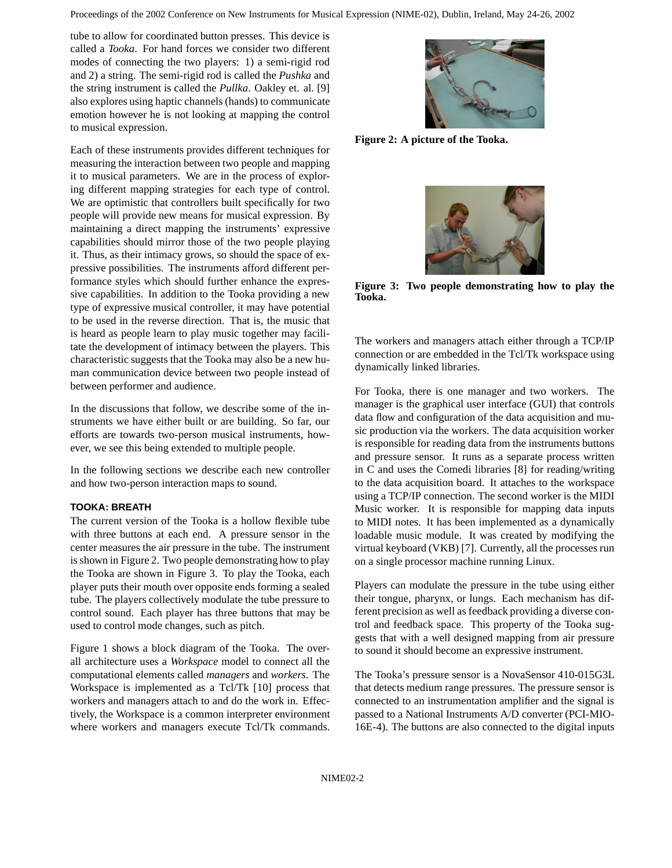tube to allow for coordinated button presses. This device is called a *Tooka*. For hand forces we consider two different modes of connecting the two players: 1) a semi-rigid rod and 2) a string. The semi-rigid rod is called the *Pushka* and the string instrument is called the *Pullka*. Oakley et. al. [9] also explores using haptic channels (hands) to communicate emotion however he is not looking at mapping the control to musical expression.

Each of these instruments provides different techniques for measuring the interaction between two people and mapping it to musical parameters. We are in the process of exploring different mapping strategies for each type of control. We are optimistic that controllers built specifically for two people will provide new means for musical expression. By maintaining a direct mapping the instruments' expressive capabilities should mirror those of the two people playing it. Thus, as their intimacy grows, so should the space of expressive possibilities. The instruments afford different performance styles which should further enhance the expressive capabilities. In addition to the Tooka providing a new type of expressive musical controller, it may have potential to be used in the reverse direction. That is, the music that is heard as people learn to play music together may facilitate the development of intimacy between the players. This characteristic suggests that the Tooka may also be a new human communication device between two people instead of between performer and audience.

In the discussions that follow, we describe some of the instruments we have either built or are building. So far, our efforts are towards two-person musical instruments, however, we see this being extended to multiple people.

In the following sections we describe each new controller and how two-person interaction maps to sound.

# **TOOKA: BREATH**

The current version of the Tooka is a hollow flexible tube with three buttons at each end. A pressure sensor in the center measures the air pressure in the tube. The instrument is shown in Figure 2. Two people demonstrating how to play the Tooka are shown in Figure 3. To play the Tooka, each player puts their mouth over opposite ends forming a sealed tube. The players collectively modulate the tube pressure to control sound. Each player has three buttons that may be used to control mode changes, such as pitch.

Figure 1 shows a block diagram of the Tooka. The overall architecture uses a *Workspace* model to connect all the computational elements called *managers* and *workers*. The Workspace is implemented as a Tcl/Tk [10] process that workers and managers attach to and do the work in. Effectively, the Workspace is a common interpreter environment where workers and managers execute Tcl/Tk commands.



**Figure 2: A picture of the Tooka.**



**Figure 3: Two people demonstrating how to play the Tooka.**

The workers and managers attach either through a TCP/IP connection or are embedded in the Tcl/Tk workspace using dynamically linked libraries.

For Tooka, there is one manager and two workers. The manager is the graphical user interface (GUI) that controls data flow and configuration of the data acquisition and music production via the workers. The data acquisition worker is responsible for reading data from the instruments buttons and pressure sensor. It runs as a separate process written in C and uses the Comedi libraries [8] for reading/writing to the data acquisition board. It attaches to the workspace using a TCP/IP connection. The second worker is the MIDI Music worker. It is responsible for mapping data inputs to MIDI notes. It has been implemented as a dynamically loadable music module. It was created by modifying the virtual keyboard (VKB) [7]. Currently, all the processes run on a single processor machine running Linux.

Players can modulate the pressure in the tube using either their tongue, pharynx, or lungs. Each mechanism has different precision as well as feedback providing a diverse control and feedback space. This property of the Tooka suggests that with a well designed mapping from air pressure to sound it should become an expressive instrument.

The Tooka's pressure sensor is a NovaSensor 410-015G3L that detects medium range pressures. The pressure sensor is connected to an instrumentation amplifier and the signal is passed to a National Instruments A/D converter (PCI-MIO-16E-4). The buttons are also connected to the digital inputs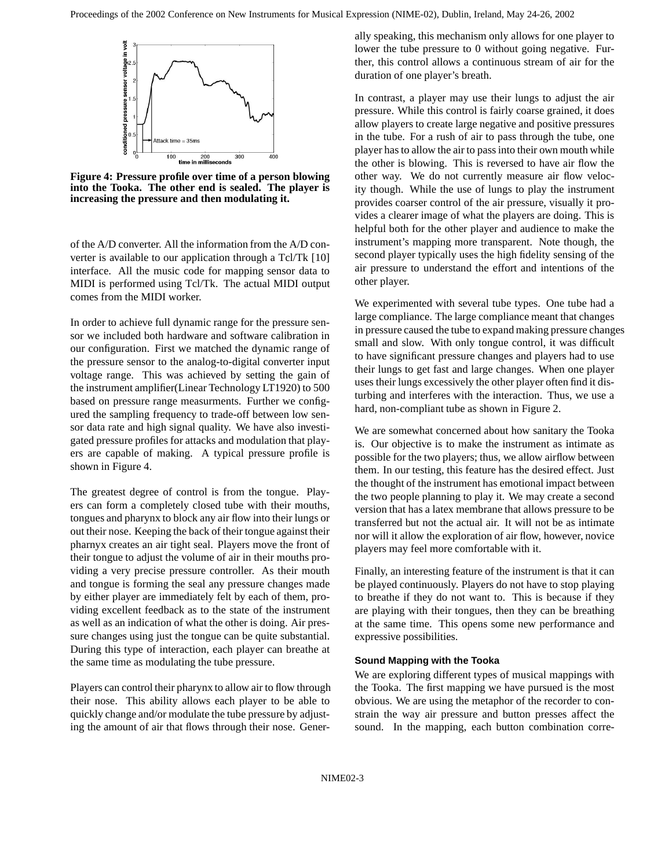

**Figure 4: Pressure profile over time of a person blowing into the Tooka. The other end is sealed. The player is increasing the pressure and then modulating it.**

of the A/D converter. All the information from the A/D converter is available to our application through a Tcl/Tk [10] interface. All the music code for mapping sensor data to MIDI is performed using Tcl/Tk. The actual MIDI output comes from the MIDI worker.

In order to achieve full dynamic range for the pressure sensor we included both hardware and software calibration in our configuration. First we matched the dynamic range of the pressure sensor to the analog-to-digital converter input voltage range. This was achieved by setting the gain of the instrument amplifier(Linear Technology LT1920) to 500 based on pressure range measurments. Further we configured the sampling frequency to trade-off between low sensor data rate and high signal quality. We have also investigated pressure profiles for attacks and modulation that players are capable of making. A typical pressure profile is shown in Figure 4.

The greatest degree of control is from the tongue. Players can form a completely closed tube with their mouths, tongues and pharynx to block any air flow into their lungs or out their nose. Keeping the back of their tongue against their pharnyx creates an air tight seal. Players move the front of their tongue to adjust the volume of air in their mouths providing a very precise pressure controller. As their mouth and tongue is forming the seal any pressure changes made by either player are immediately felt by each of them, providing excellent feedback as to the state of the instrument as well as an indication of what the other is doing. Air pressure changes using just the tongue can be quite substantial. During this type of interaction, each player can breathe at the same time as modulating the tube pressure.

Players can control their pharynx to allow air to flow through their nose. This ability allows each player to be able to quickly change and/or modulate the tube pressure by adjusting the amount of air that flows through their nose. Generally speaking, this mechanism only allows for one player to lower the tube pressure to 0 without going negative. Further, this control allows a continuous stream of air for the duration of one player's breath.

In contrast, a player may use their lungs to adjust the air pressure. While this control is fairly coarse grained, it does allow players to create large negative and positive pressures in the tube. For a rush of air to pass through the tube, one player has to allow the air to pass into their own mouth while the other is blowing. This is reversed to have air flow the other way. We do not currently measure air flow velocity though. While the use of lungs to play the instrument provides coarser control of the air pressure, visually it provides a clearer image of what the players are doing. This is helpful both for the other player and audience to make the instrument's mapping more transparent. Note though, the second player typically uses the high fidelity sensing of the air pressure to understand the effort and intentions of the other player.

We experimented with several tube types. One tube had a large compliance. The large compliance meant that changes in pressure caused the tube to expand making pressure changes small and slow. With only tongue control, it was difficult to have significant pressure changes and players had to use their lungs to get fast and large changes. When one player uses their lungs excessively the other player often find it disturbing and interferes with the interaction. Thus, we use a hard, non-compliant tube as shown in Figure 2.

We are somewhat concerned about how sanitary the Tooka is. Our objective is to make the instrument as intimate as possible for the two players; thus, we allow airflow between them. In our testing, this feature has the desired effect. Just the thought of the instrument has emotional impact between the two people planning to play it. We may create a second version that has a latex membrane that allows pressure to be transferred but not the actual air. It will not be as intimate nor will it allow the exploration of air flow, however, novice players may feel more comfortable with it.

Finally, an interesting feature of the instrument is that it can be played continuously. Players do not have to stop playing to breathe if they do not want to. This is because if they are playing with their tongues, then they can be breathing at the same time. This opens some new performance and expressive possibilities.

#### **Sound Mapping with the Tooka**

We are exploring different types of musical mappings with the Tooka. The first mapping we have pursued is the most obvious. We are using the metaphor of the recorder to constrain the way air pressure and button presses affect the sound. In the mapping, each button combination corre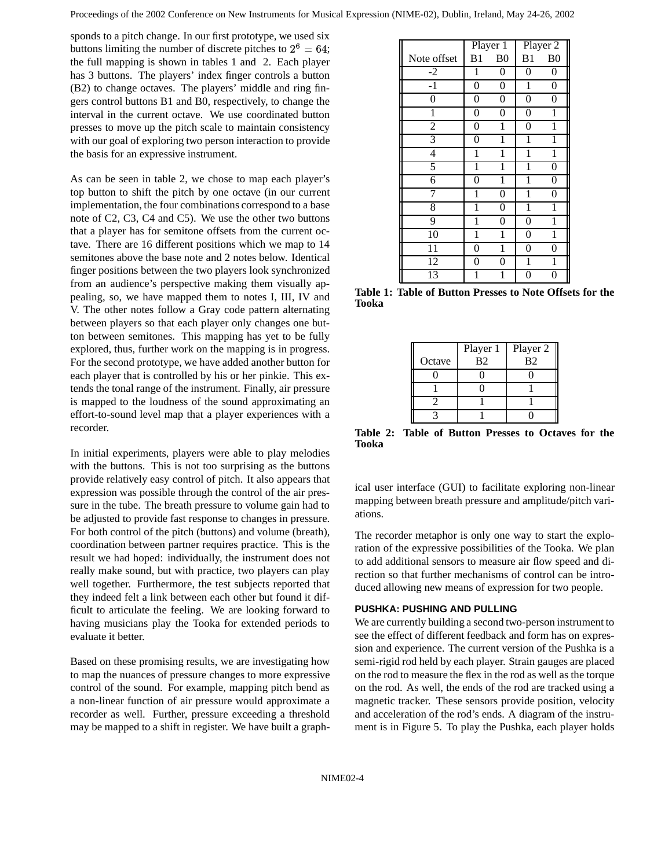sponds to a pitch change. In our first prototype, we used six buttons limiting the number of discrete pitches to  $2^6 = 64$ ; the full mapping is shown in tables 1 and 2. Each player has 3 buttons. The players' index finger controls a button (B2) to change octaves. The players' middle and ring fingers control buttons B1 and B0, respectively, to change the interval in the current octave. We use coordinated button presses to move up the pitch scale to maintain consistency with our goal of exploring two person interaction to provide the basis for an expressive instrument.

As can be seen in table 2, we chose to map each player's top button to shift the pitch by one octave (in our current implementation, the four combinations correspond to a base note of C2, C3, C4 and C5). We use the other two buttons that a player has for semitone offsets from the current octave. There are 16 different positions which we map to 14 semitones above the base note and 2 notes below. Identical finger positions between the two players look synchronized from an audience's perspective making them visually appealing, so, we have mapped them to notes I, III, IV and V. The other notes follow a Gray code pattern alternating between players so that each player only changes one button between semitones. This mapping has yet to be fully explored, thus, further work on the mapping is in progress. For the second prototype, we have added another button for each player that is controlled by his or her pinkie. This extends the tonal range of the instrument. Finally, air pressure is mapped to the loudness of the sound approximating an effort-to-sound level map that a player experiences with a recorder.

In initial experiments, players were able to play melodies with the buttons. This is not too surprising as the buttons provide relatively easy control of pitch. It also appears that expression was possible through the control of the air pressure in the tube. The breath pressure to volume gain had to be adjusted to provide fast response to changes in pressure. For both control of the pitch (buttons) and volume (breath), coordination between partner requires practice. This is the result we had hoped: individually, the instrument does not really make sound, but with practice, two players can play well together. Furthermore, the test subjects reported that they indeed felt a link between each other but found it difficult to articulate the feeling. We are looking forward to having musicians play the Tooka for extended periods to evaluate it better.

Based on these promising results, we are investigating how to map the nuances of pressure changes to more expressive control of the sound. For example, mapping pitch bend as a non-linear function of air pressure would approximate a recorder as well. Further, pressure exceeding a threshold may be mapped to a shift in register. We have built a graph-

|                | Player 1       |                | Player 2       |                |
|----------------|----------------|----------------|----------------|----------------|
| Note offset    | B <sub>1</sub> | B <sub>0</sub> | B1             | B <sub>0</sub> |
| $-2$           | 1              | 0              | 0              | 0              |
| $-1$           | 0              | 0              | 1              | $\theta$       |
| 0              | 0              | 0              | $\overline{0}$ | 0              |
| 1              | 0              | 0              | 0              | 1              |
| $\overline{2}$ | $\overline{0}$ | 1              | $\theta$       | 1              |
| 3              | $\overline{0}$ | 1              | 1              | 1              |
| $\overline{4}$ | 1              | 1              | 1              | 1              |
| 5              | 1              | 1              | 1              | 0              |
| 6              | 0              | 1              | 1              | 0              |
| 7              | 1              | 0              | 1              | $\overline{0}$ |
| $\overline{8}$ | 1              | 0              | 1              | 1              |
| 9              | 1              | 0              | 0              | 1              |
| 10             | 1              | 1              | 0              | 1              |
| 11             | 0              | 1              | 0              | 0              |
| 12             | 0              | 0              | 1              | 1              |
| 13             |                | 1              | 0              | 0              |

**Table 1: Table of Button Presses to Note Offsets for the Tooka**

|        | Player 1       | Player 2       |
|--------|----------------|----------------|
| Octave | B <sub>2</sub> | B <sub>2</sub> |
|        |                |                |
|        |                |                |
|        |                |                |

**Table 2: Table of Button Presses to Octaves for the Tooka**

ical user interface (GUI) to facilitate exploring non-linear mapping between breath pressure and amplitude/pitch variations.

The recorder metaphor is only one way to start the exploration of the expressive possibilities of the Tooka. We plan to add additional sensors to measure air flow speed and direction so that further mechanisms of control can be introduced allowing new means of expression for two people.

## **PUSHKA: PUSHING AND PULLING**

We are currently building a second two-person instrument to see the effect of different feedback and form has on expression and experience. The current version of the Pushka is a semi-rigid rod held by each player. Strain gauges are placed on the rod to measure the flex in the rod as well as the torque on the rod. As well, the ends of the rod are tracked using a magnetic tracker. These sensors provide position, velocity and acceleration of the rod's ends. A diagram of the instrument is in Figure 5. To play the Pushka, each player holds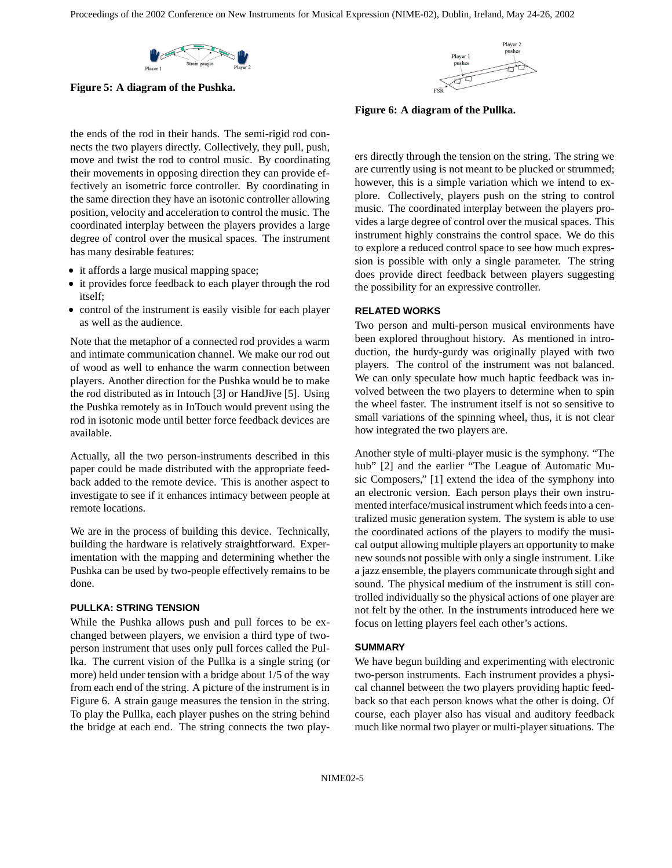

**Figure 5: A diagram of the Pushka.**

the ends of the rod in their hands. The semi-rigid rod connects the two players directly. Collectively, they pull, push, move and twist the rod to control music. By coordinating their movements in opposing direction they can provide effectively an isometric force controller. By coordinating in the same direction they have an isotonic controller allowing position, velocity and acceleration to control the music. The coordinated interplay between the players provides a large degree of control over the musical spaces. The instrument has many desirable features:

- it affords a large musical mapping space;
- it provides force feedback to each player through the rod itself;
- control of the instrument is easily visible for each player as well as the audience.

Note that the metaphor of a connected rod provides a warm and intimate communication channel. We make our rod out of wood as well to enhance the warm connection between players. Another direction for the Pushka would be to make the rod distributed as in Intouch [3] or HandJive [5]. Using the Pushka remotely as in InTouch would prevent using the rod in isotonic mode until better force feedback devices are available.

Actually, all the two person-instruments described in this paper could be made distributed with the appropriate feedback added to the remote device. This is another aspect to investigate to see if it enhances intimacy between people at remote locations.

We are in the process of building this device. Technically, building the hardware is relatively straightforward. Experimentation with the mapping and determining whether the Pushka can be used by two-people effectively remains to be done.

#### **PULLKA: STRING TENSION**

While the Pushka allows push and pull forces to be exchanged between players, we envision a third type of twoperson instrument that uses only pull forces called the Pullka. The current vision of the Pullka is a single string (or more) held under tension with a bridge about 1/5 of the way from each end of the string. A picture of the instrument is in Figure 6. A strain gauge measures the tension in the string. To play the Pullka, each player pushes on the string behind the bridge at each end. The string connects the two play-



**Figure 6: A diagram of the Pullka.**

ers directly through the tension on the string. The string we are currently using is not meant to be plucked or strummed; however, this is a simple variation which we intend to explore. Collectively, players push on the string to control music. The coordinated interplay between the players provides a large degree of control over the musical spaces. This instrument highly constrains the control space. We do this to explore a reduced control space to see how much expression is possible with only a single parameter. The string does provide direct feedback between players suggesting the possibility for an expressive controller.

### **RELATED WORKS**

Two person and multi-person musical environments have been explored throughout history. As mentioned in introduction, the hurdy-gurdy was originally played with two players. The control of the instrument was not balanced. We can only speculate how much haptic feedback was involved between the two players to determine when to spin the wheel faster. The instrument itself is not so sensitive to small variations of the spinning wheel, thus, it is not clear how integrated the two players are.

Another style of multi-player music is the symphony. "The hub" [2] and the earlier "The League of Automatic Music Composers," [1] extend the idea of the symphony into an electronic version. Each person plays their own instrumented interface/musical instrument which feedsinto a centralized music generation system. The system is able to use the coordinated actions of the players to modify the musical output allowing multiple players an opportunity to make new sounds not possible with only a single instrument. Like a jazz ensemble, the players communicate through sight and sound. The physical medium of the instrument is still controlled individually so the physical actions of one player are not felt by the other. In the instruments introduced here we focus on letting players feel each other's actions.

## **SUMMARY**

We have begun building and experimenting with electronic two-person instruments. Each instrument provides a physical channel between the two players providing haptic feedback so that each person knows what the other is doing. Of course, each player also has visual and auditory feedback much like normal two player or multi-player situations. The